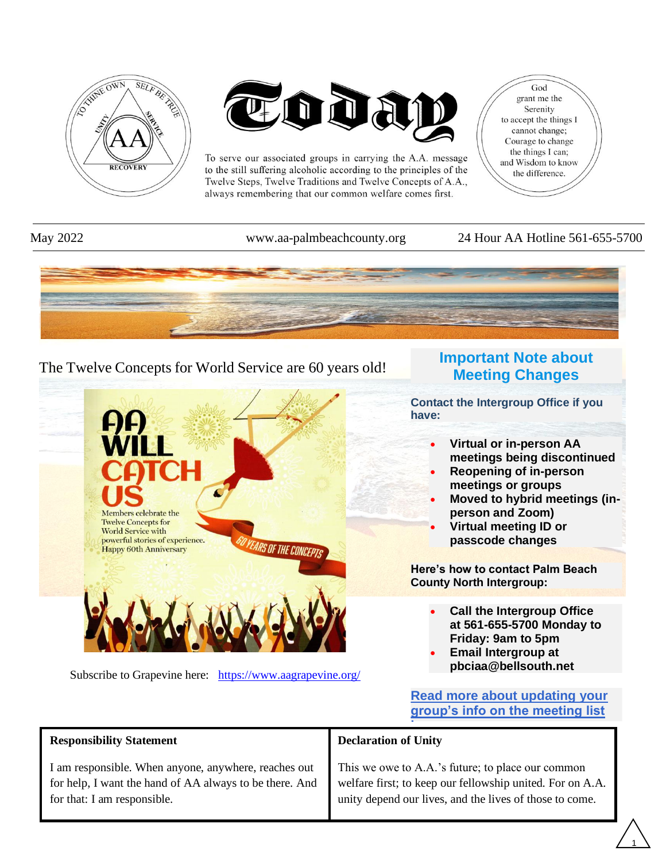



To serve our associated groups in carrying the A.A. message to the still suffering alcoholic according to the principles of the Twelve Steps, Twelve Traditions and Twelve Concepts of A.A., always remembering that our common welfare comes first.

God grant me the Serenity to accept the things I cannot change; Courage to change the things I can; and Wisdom to know the difference.

#### May 2022 www.aa-palmbeachcounty.org 24 Hour AA Hotline 561-655-5700



### The Twelve Concepts for World Service are 60 years old!



Subscribe to Grapevine here: <https://www.aagrapevine.org/>

### **Important Note about Meeting Changes**

**Contact the Intergroup Office if you have:**

- **Virtual or in-person AA meetings being discontinued**
- **Reopening of in-person meetings or groups**
- **Moved to hybrid meetings (inperson and Zoom)**
- **Virtual meeting ID or passcode changes**

**Here's how to contact Palm Beach County North Intergroup:**

- **Call the Intergroup Office at 561-655-5700 Monday to Friday: 9am to 5pm**
- **Email Intergroup at pbciaa@bellsouth.net**

**[Read more about updating your](https://aa-palmbeachcounty.org/need-to-update-your-meeting-info/)  [group's info on the meeting list](https://aa-palmbeachcounty.org/need-to-update-your-meeting-info/)** 

1

| <b>Responsibility Statement</b>                                                                                                                | <b>Declaration of Unity</b>                                                                                                                                               |  |  |  |
|------------------------------------------------------------------------------------------------------------------------------------------------|---------------------------------------------------------------------------------------------------------------------------------------------------------------------------|--|--|--|
| I am responsible. When anyone, anywhere, reaches out<br>for help, I want the hand of AA always to be there. And<br>for that: I am responsible. | This we owe to A.A.'s future; to place our common<br>welfare first; to keep our fellowship united. For on A.A.<br>unity depend our lives, and the lives of those to come. |  |  |  |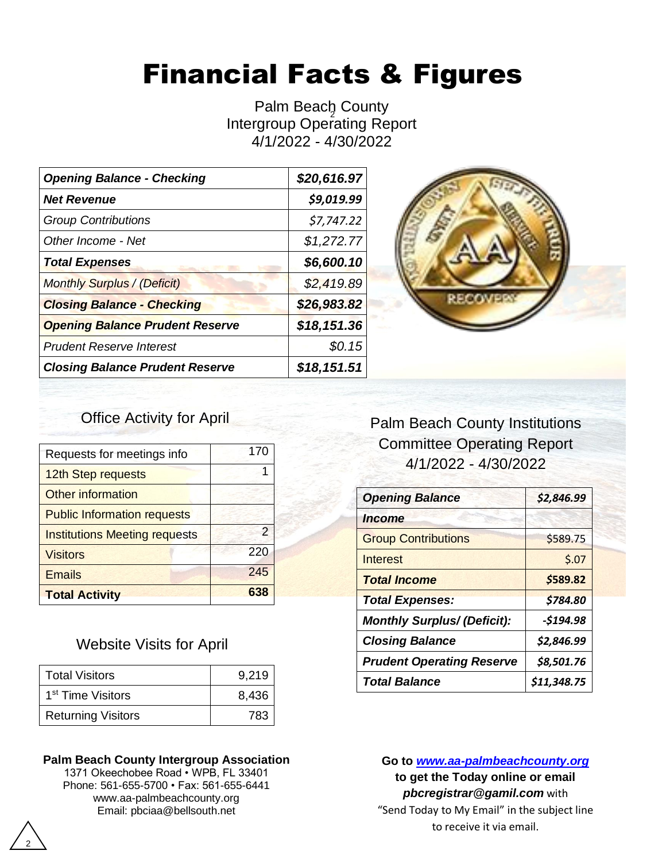# Financial Facts & Figures

Intergroup Operating Report Palm Beach County 4/1/2022 - 4/30/2022

| <b>Opening Balance - Checking</b>      | \$20,616.97 |
|----------------------------------------|-------------|
| <b>Net Revenue</b>                     | \$9,019.99  |
| <b>Group Contributions</b>             | \$7,747.22  |
| Other Income - Net                     | \$1,272.77  |
| <b>Total Expenses</b>                  | \$6,600.10  |
| <b>Monthly Surplus / (Deficit)</b>     | \$2,419.89  |
| <b>Closing Balance - Checking</b>      | \$26,983.82 |
| <b>Opening Balance Prudent Reserve</b> | \$18,151.36 |
| <b>Prudent Reserve Interest</b>        | \$0.15      |
| <b>Closing Balance Prudent Reserve</b> | \$18,151.51 |



## Office Activity for April

| Requests for meetings info           | 170 |
|--------------------------------------|-----|
| 12th Step requests                   |     |
| <b>Other information</b>             |     |
| <b>Public Information requests</b>   |     |
| <b>Institutions Meeting requests</b> | 2   |
| <b>Visitors</b>                      | 220 |
| <b>Emails</b>                        | 245 |
| <b>Total Activity</b>                | 638 |

### Website Visits for April

| <b>Total Visitors</b>         | 9,219 |
|-------------------------------|-------|
| 1 <sup>st</sup> Time Visitors | 8,436 |
| <b>Returning Visitors</b>     | 783   |

#### **Palm Beach County Intergroup Association**

1371 Okeechobee Road • WPB, FL 33401 Phone: 561-655-5700 • Fax: 561-655-6441 www.aa-palmbeachcounty.org Email: pbciaa@bellsouth.net

# Palm Beach County Institutions Committee Operating Report 4/1/2022 - 4/30/2022

| <b>Opening Balance</b>             | \$2,846.99  |  |  |
|------------------------------------|-------------|--|--|
| <i><u><b>Income</b></u></i>        |             |  |  |
| <b>Group Contributions</b>         | \$589.75    |  |  |
| Interest                           | 5.07        |  |  |
| <b>Total Income</b>                | \$589.82    |  |  |
| <b>Total Expenses:</b>             | \$784.80    |  |  |
| <b>Monthly Surplus/ (Deficit):</b> | $-5194.98$  |  |  |
| <b>Closing Balance</b>             | \$2,846.99  |  |  |
| <b>Prudent Operating Reserve</b>   | \$8,501.76  |  |  |
| <b>Total Balance</b>               | \$11,348.75 |  |  |

**Go to** *[www.aa-palmbeachcounty.org](file:///C:/Users/admin/Documents/www.aa-palmbeachcounty.org)* **to get the Today online or email**  *pbcregistrar@gamil.com* with "Send Today to My Email" in the subject line to receive it via email.

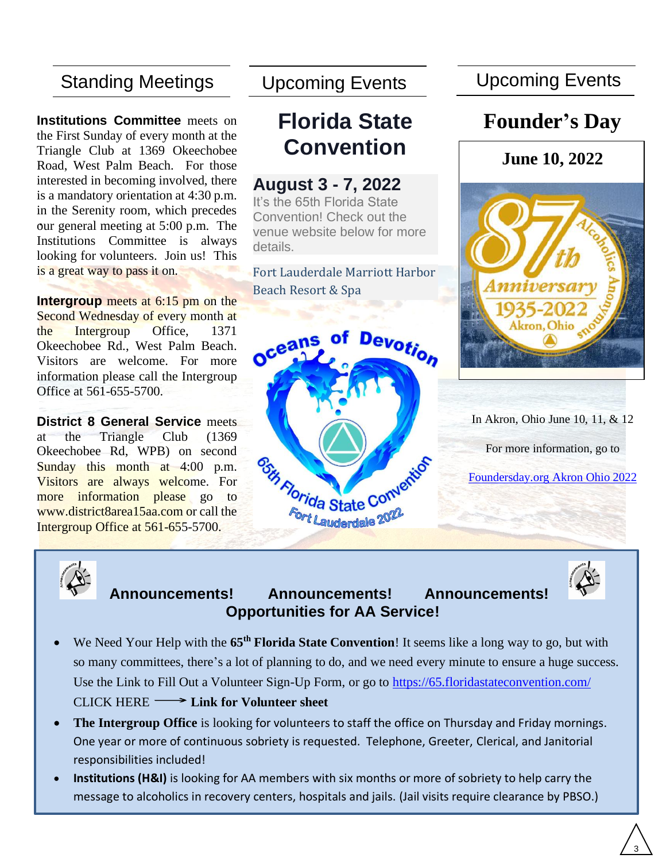# Standing Meetings

**.** our general meeting at 5:00 p.m. The **Institutions Committee** meets on the First Sunday of every month at the Triangle Club at 1369 Okeechobee Road, West Palm Beach. For those interested in becoming involved, there is a mandatory orientation at 4:30 p.m. in the Serenity room, which precedes Institutions Committee is always looking for volunteers. Join us! This is a great way to pass it on.

**Intergroup** meets at 6:15 pm on the Second Wednesday of every month at the Intergroup Office, 1371 Okeechobee Rd., West Palm Beach. Visitors are welcome. For more information please call the Intergroup Office at 561-655-5700.

**District 8 General Service** meets at the Triangle Club (1369 Okeechobee Rd, WPB) on second Sunday this month at 4:00 p.m. Visitors are always welcome. For more information please go to www.district8area15aa.com or call the Intergroup Office at 561-655-5700.

# **Florida State Convention**

## **August 3 - 7, 2022**

It's the 65th Florida State Convention! Check out the venue website below for more details.

Fort Lauderdale Marriott Harbor Beach Resort & Spa



Upcoming Events Upcoming Events

# **Founder's Day**



In Akron, Ohio June 10, 11, & 12

For more information, go to

[Foundersday.org Akron Ohio 2022](https://foundersday.org/)



## **Announcements! Announcements! Announcements! Opportunities for AA Service!**



- We Need Your Help with the **65th Florida State Convention**! It seems like a long way to go, but with so many committees, there's a lot of planning to do, and we need every minute to ensure a huge success. Use the Link to Fill Out a Volunteer Sign-Up Form, or go to<https://65.floridastateconvention.com/> CLICK HERE **- Eink for Volunteer sheet**
- **The Intergroup Office** is looking for volunteers to staff the office on Thursday and Friday mornings. One year or more of continuous sobriety is requested. Telephone, Greeter, Clerical, and Janitorial responsibilities included!
- **Institutions (H&I)** is looking for AA members with six months or more of sobriety to help carry the message to alcoholics in recovery centers, hospitals and jails. (Jail visits require clearance by PBSO.)